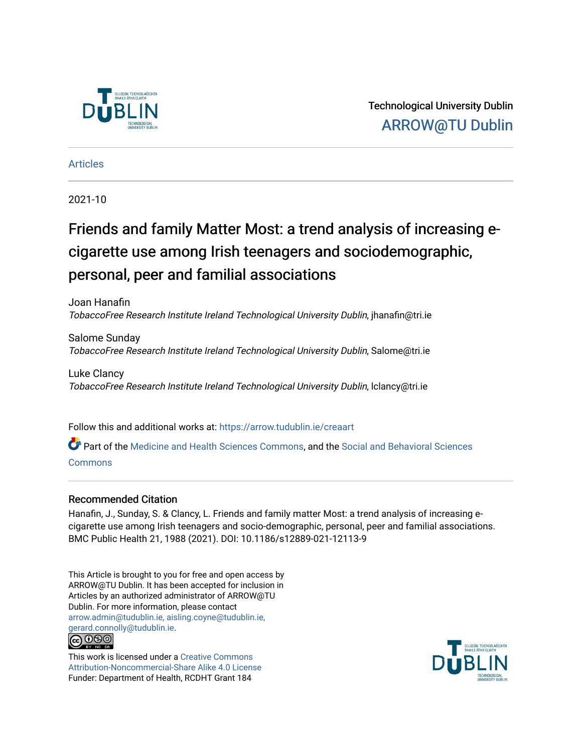

Technological University Dublin [ARROW@TU Dublin](https://arrow.tudublin.ie/) 

[Articles](https://arrow.tudublin.ie/creaart)

2021-10

# Friends and family Matter Most: a trend analysis of increasing ecigarette use among Irish teenagers and sociodemographic, personal, peer and familial associations

Joan Hanafin TobaccoFree Research Institute Ireland Technological University Dublin, jhanafin@tri.ie

Salome Sunday TobaccoFree Research Institute Ireland Technological University Dublin, Salome@tri.ie

Luke Clancy TobaccoFree Research Institute Ireland Technological University Dublin, lclancy@tri.ie

Follow this and additional works at: [https://arrow.tudublin.ie/creaart](https://arrow.tudublin.ie/creaart?utm_source=arrow.tudublin.ie%2Fcreaart%2F50&utm_medium=PDF&utm_campaign=PDFCoverPages) 

Part of the [Medicine and Health Sciences Commons,](http://network.bepress.com/hgg/discipline/648?utm_source=arrow.tudublin.ie%2Fcreaart%2F50&utm_medium=PDF&utm_campaign=PDFCoverPages) and the [Social and Behavioral Sciences](http://network.bepress.com/hgg/discipline/316?utm_source=arrow.tudublin.ie%2Fcreaart%2F50&utm_medium=PDF&utm_campaign=PDFCoverPages) [Commons](http://network.bepress.com/hgg/discipline/316?utm_source=arrow.tudublin.ie%2Fcreaart%2F50&utm_medium=PDF&utm_campaign=PDFCoverPages)

# Recommended Citation

Hanafin, J., Sunday, S. & Clancy, L. Friends and family matter Most: a trend analysis of increasing ecigarette use among Irish teenagers and socio-demographic, personal, peer and familial associations. BMC Public Health 21, 1988 (2021). DOI: 10.1186/s12889-021-12113-9

This Article is brought to you for free and open access by ARROW@TU Dublin. It has been accepted for inclusion in Articles by an authorized administrator of ARROW@TU Dublin. For more information, please contact [arrow.admin@tudublin.ie, aisling.coyne@tudublin.ie,](mailto:arrow.admin@tudublin.ie,%20aisling.coyne@tudublin.ie,%20gerard.connolly@tudublin.ie)  [gerard.connolly@tudublin.ie](mailto:arrow.admin@tudublin.ie,%20aisling.coyne@tudublin.ie,%20gerard.connolly@tudublin.ie). **@** 00

This work is licensed under a [Creative Commons](http://creativecommons.org/licenses/by-nc-sa/4.0/) [Attribution-Noncommercial-Share Alike 4.0 License](http://creativecommons.org/licenses/by-nc-sa/4.0/) Funder: Department of Health, RCDHT Grant 184

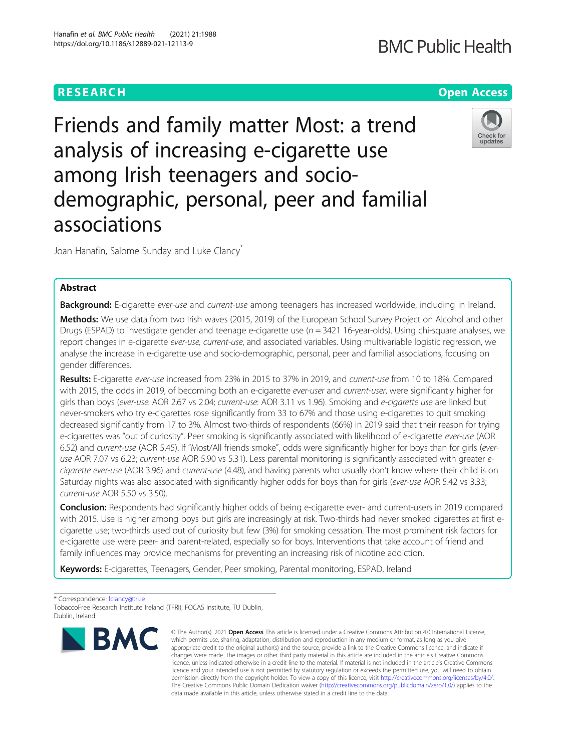Hanafin et al. BMC Public Health (2021) 21:1988 https://doi.org/10.1186/s12889-021-12113-9

# Friends and family matter Most: a trend analysis of increasing e-cigarette use among Irish teenagers and sociodemographic, personal, peer and familial associations

Joan Hanafin, Salome Sunday and Luke Clancy<sup>\*</sup>

# Abstract

Background: E-cigarette ever-use and current-use among teenagers has increased worldwide, including in Ireland. Methods: We use data from two Irish waves (2015, 2019) of the European School Survey Project on Alcohol and other Drugs (ESPAD) to investigate gender and teenage e-cigarette use  $(n = 3421 \text{ 16-year-olds})$ . Using chi-square analyses, we report changes in e-cigarette ever-use, current-use, and associated variables. Using multivariable logistic regression, we analyse the increase in e-cigarette use and socio-demographic, personal, peer and familial associations, focusing on gender differences.

Results: E-cigarette ever-use increased from 23% in 2015 to 37% in 2019, and current-use from 10 to 18%. Compared with 2015, the odds in 2019, of becoming both an e-cigarette ever-user and current-user, were significantly higher for girls than boys (ever-use: AOR 2.67 vs 2.04; current-use: AOR 3.11 vs 1.96). Smoking and e-cigarette use are linked but never-smokers who try e-cigarettes rose significantly from 33 to 67% and those using e-cigarettes to quit smoking decreased significantly from 17 to 3%. Almost two-thirds of respondents (66%) in 2019 said that their reason for trying e-cigarettes was "out of curiosity". Peer smoking is significantly associated with likelihood of e-cigarette ever-use (AOR 6.52) and current-use (AOR 5.45). If "Most/All friends smoke", odds were significantly higher for boys than for girls (everuse AOR 7.07 vs 6.23; current-use AOR 5.90 vs 5.31). Less parental monitoring is significantly associated with greater ecigarette ever-use (AOR 3.96) and current-use (4.48), and having parents who usually don't know where their child is on Saturday nights was also associated with significantly higher odds for boys than for girls (ever-use AOR 5.42 vs 3.33; current-use AOR 5.50 vs 3.50).

Conclusion: Respondents had significantly higher odds of being e-cigarette ever- and current-users in 2019 compared with 2015. Use is higher among boys but girls are increasingly at risk. Two-thirds had never smoked cigarettes at first ecigarette use; two-thirds used out of curiosity but few (3%) for smoking cessation. The most prominent risk factors for e-cigarette use were peer- and parent-related, especially so for boys. Interventions that take account of friend and family influences may provide mechanisms for preventing an increasing risk of nicotine addiction.

Keywords: E-cigarettes, Teenagers, Gender, Peer smoking, Parental monitoring, ESPAD, Ireland

\* Correspondence: [lclancy@tri.ie](mailto:lclancy@tri.ie)

TobaccoFree Research Institute Ireland (TFRI), FOCAS Institute, TU Dublin, Dublin, Ireland





**BMC** 



<sup>©</sup> The Author(s), 2021 **Open Access** This article is licensed under a Creative Commons Attribution 4.0 International License, which permits use, sharing, adaptation, distribution and reproduction in any medium or format, as long as you give appropriate credit to the original author(s) and the source, provide a link to the Creative Commons licence, and indicate if changes were made. The images or other third party material in this article are included in the article's Creative Commons licence, unless indicated otherwise in a credit line to the material. If material is not included in the article's Creative Commons licence and your intended use is not permitted by statutory regulation or exceeds the permitted use, you will need to obtain permission directly from the copyright holder. To view a copy of this licence, visit [http://creativecommons.org/licenses/by/4.0/.](http://creativecommons.org/licenses/by/4.0/) The Creative Commons Public Domain Dedication waiver [\(http://creativecommons.org/publicdomain/zero/1.0/](http://creativecommons.org/publicdomain/zero/1.0/)) applies to the data made available in this article, unless otherwise stated in a credit line to the data.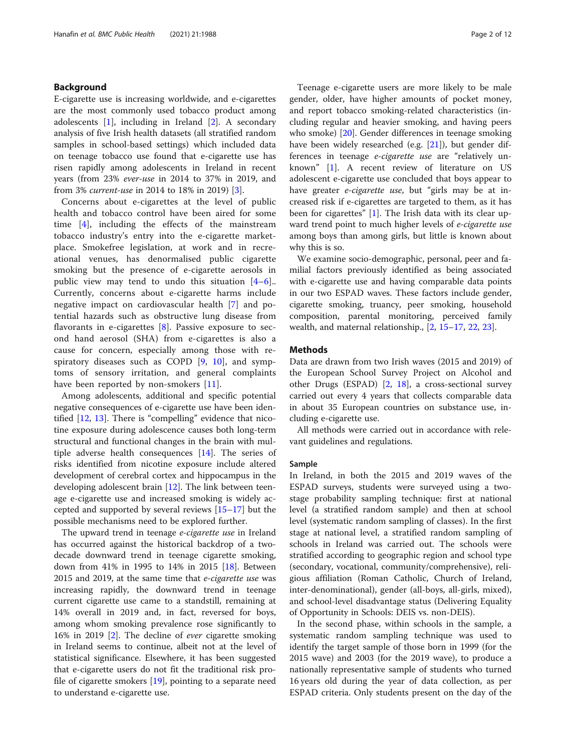# Background

E-cigarette use is increasing worldwide, and e-cigarettes are the most commonly used tobacco product among adolescents  $[1]$  $[1]$ , including in Ireland  $[2]$  $[2]$ . A secondary analysis of five Irish health datasets (all stratified random samples in school-based settings) which included data on teenage tobacco use found that e-cigarette use has risen rapidly among adolescents in Ireland in recent years (from 23% ever-use in 2014 to 37% in 2019, and from 3% current-use in 2014 to 18% in 2019) [[3\]](#page-11-0).

Concerns about e-cigarettes at the level of public health and tobacco control have been aired for some time [\[4](#page-11-0)], including the effects of the mainstream tobacco industry's entry into the e-cigarette marketplace. Smokefree legislation, at work and in recreational venues, has denormalised public cigarette smoking but the presence of e-cigarette aerosols in public view may tend to undo this situation  $[4-6]$  $[4-6]$  $[4-6]$  $[4-6]$ . Currently, concerns about e-cigarette harms include negative impact on cardiovascular health [\[7](#page-11-0)] and potential hazards such as obstructive lung disease from flavorants in e-cigarettes  $[8]$  $[8]$  $[8]$ . Passive exposure to second hand aerosol (SHA) from e-cigarettes is also a cause for concern, especially among those with respiratory diseases such as COPD [\[9](#page-11-0), [10\]](#page-11-0), and symptoms of sensory irritation, and general complaints have been reported by non-smokers [[11\]](#page-11-0).

Among adolescents, additional and specific potential negative consequences of e-cigarette use have been identified [\[12,](#page-11-0) [13](#page-11-0)]. There is "compelling" evidence that nicotine exposure during adolescence causes both long-term structural and functional changes in the brain with multiple adverse health consequences [[14\]](#page-11-0). The series of risks identified from nicotine exposure include altered development of cerebral cortex and hippocampus in the developing adolescent brain [[12\]](#page-11-0). The link between teenage e-cigarette use and increased smoking is widely accepted and supported by several reviews [\[15](#page-11-0)–[17\]](#page-11-0) but the possible mechanisms need to be explored further.

The upward trend in teenage e-cigarette use in Ireland has occurred against the historical backdrop of a twodecade downward trend in teenage cigarette smoking, down from 41% in 1995 to 14% in 2015 [[18\]](#page-11-0). Between 2015 and 2019, at the same time that *e-cigarette use* was increasing rapidly, the downward trend in teenage current cigarette use came to a standstill, remaining at 14% overall in 2019 and, in fact, reversed for boys, among whom smoking prevalence rose significantly to 16% in 2019 [[2](#page-11-0)]. The decline of ever cigarette smoking in Ireland seems to continue, albeit not at the level of statistical significance. Elsewhere, it has been suggested that e-cigarette users do not fit the traditional risk profile of cigarette smokers [[19\]](#page-11-0), pointing to a separate need to understand e-cigarette use.

Teenage e-cigarette users are more likely to be male gender, older, have higher amounts of pocket money, and report tobacco smoking-related characteristics (including regular and heavier smoking, and having peers who smoke) [[20](#page-11-0)]. Gender differences in teenage smoking have been widely researched (e.g. [\[21](#page-11-0)]), but gender differences in teenage e-cigarette use are "relatively unknown" [[1\]](#page-11-0). A recent review of literature on US adolescent e-cigarette use concluded that boys appear to have greater e-cigarette use, but "girls may be at increased risk if e-cigarettes are targeted to them, as it has been for cigarettes" [\[1](#page-11-0)]. The Irish data with its clear upward trend point to much higher levels of *e-cigarette use* among boys than among girls, but little is known about why this is so.

We examine socio-demographic, personal, peer and familial factors previously identified as being associated with e-cigarette use and having comparable data points in our two ESPAD waves. These factors include gender, cigarette smoking, truancy, peer smoking, household composition, parental monitoring, perceived family wealth, and maternal relationship., [\[2](#page-11-0), [15](#page-11-0)–[17,](#page-11-0) [22,](#page-11-0) [23\]](#page-11-0).

### **Methods**

Data are drawn from two Irish waves (2015 and 2019) of the European School Survey Project on Alcohol and other Drugs (ESPAD) [[2,](#page-11-0) [18\]](#page-11-0), a cross-sectional survey carried out every 4 years that collects comparable data in about 35 European countries on substance use, including e-cigarette use.

All methods were carried out in accordance with relevant guidelines and regulations.

#### Sample

In Ireland, in both the 2015 and 2019 waves of the ESPAD surveys, students were surveyed using a twostage probability sampling technique: first at national level (a stratified random sample) and then at school level (systematic random sampling of classes). In the first stage at national level, a stratified random sampling of schools in Ireland was carried out. The schools were stratified according to geographic region and school type (secondary, vocational, community/comprehensive), religious affiliation (Roman Catholic, Church of Ireland, inter-denominational), gender (all-boys, all-girls, mixed), and school-level disadvantage status (Delivering Equality of Opportunity in Schools: DEIS vs. non-DEIS).

In the second phase, within schools in the sample, a systematic random sampling technique was used to identify the target sample of those born in 1999 (for the 2015 wave) and 2003 (for the 2019 wave), to produce a nationally representative sample of students who turned 16 years old during the year of data collection, as per ESPAD criteria. Only students present on the day of the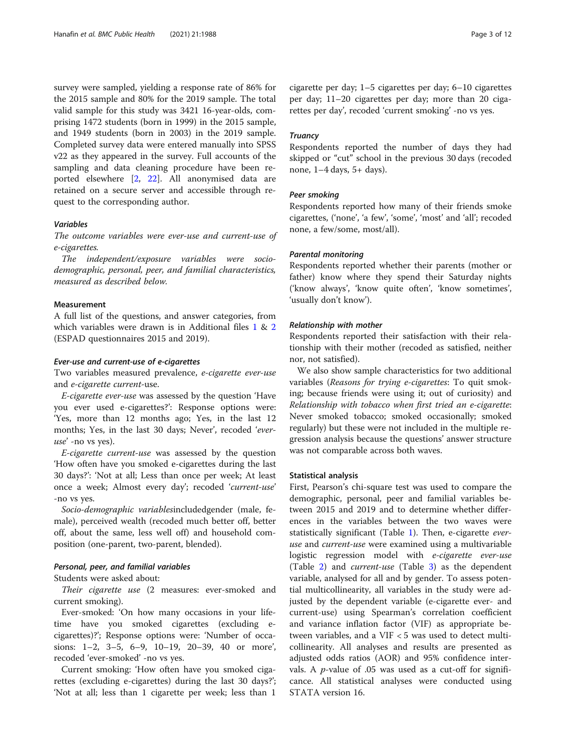survey were sampled, yielding a response rate of 86% for the 2015 sample and 80% for the 2019 sample. The total valid sample for this study was 3421 16-year-olds, comprising 1472 students (born in 1999) in the 2015 sample, and 1949 students (born in 2003) in the 2019 sample. Completed survey data were entered manually into SPSS v22 as they appeared in the survey. Full accounts of the sampling and data cleaning procedure have been reported elsewhere [\[2,](#page-11-0) [22](#page-11-0)]. All anonymised data are retained on a secure server and accessible through request to the corresponding author.

#### Variables

The outcome variables were ever-use and current-use of e-cigarettes.

The independent/exposure variables were sociodemographic, personal, peer, and familial characteristics, measured as described below.

# Measurement

A full list of the questions, and answer categories, from which variables were drawn is in Additional files [1](#page-10-0) & [2](#page-10-0) (ESPAD questionnaires 2015 and 2019).

#### Ever-use and current-use of e-cigarettes

Two variables measured prevalence, e-cigarette ever-use and e-cigarette current-use.

E-cigarette ever-use was assessed by the question 'Have you ever used e-cigarettes?': Response options were: 'Yes, more than 12 months ago; Yes, in the last 12 months; Yes, in the last 30 days; Never', recoded 'everuse' -no vs yes).

E-cigarette current-use was assessed by the question 'How often have you smoked e-cigarettes during the last 30 days?': 'Not at all; Less than once per week; At least once a week; Almost every day'; recoded 'current-use' -no vs yes.

Socio-demographic variablesincludedgender (male, female), perceived wealth (recoded much better off, better off, about the same, less well off) and household composition (one-parent, two-parent, blended).

#### Personal, peer, and familial variables

Students were asked about:

Their cigarette use (2 measures: ever-smoked and current smoking).

Ever-smoked: 'On how many occasions in your lifetime have you smoked cigarettes (excluding ecigarettes)?'; Response options were: 'Number of occasions: 1–2, 3–5, 6–9, 10–19, 20–39, 40 or more', recoded 'ever-smoked' -no vs yes.

Current smoking: 'How often have you smoked cigarettes (excluding e-cigarettes) during the last 30 days?'; 'Not at all; less than 1 cigarette per week; less than 1

cigarette per day; 1–5 cigarettes per day; 6–10 cigarettes per day; 11–20 cigarettes per day; more than 20 cigarettes per day', recoded 'current smoking' -no vs yes.

#### **Truancy**

Respondents reported the number of days they had skipped or "cut" school in the previous 30 days (recoded none, 1–4 days, 5+ days).

#### Peer smoking

Respondents reported how many of their friends smoke cigarettes, ('none', 'a few', 'some', 'most' and 'all'; recoded none, a few/some, most/all).

#### Parental monitoring

Respondents reported whether their parents (mother or father) know where they spend their Saturday nights ('know always', 'know quite often', 'know sometimes', 'usually don't know').

#### Relationship with mother

Respondents reported their satisfaction with their relationship with their mother (recoded as satisfied, neither nor, not satisfied).

We also show sample characteristics for two additional variables (Reasons for trying e-cigarettes: To quit smoking; because friends were using it; out of curiosity) and Relationship with tobacco when first tried an e-cigarette: Never smoked tobacco; smoked occasionally; smoked regularly) but these were not included in the multiple regression analysis because the questions' answer structure was not comparable across both waves.

#### Statistical analysis

First, Pearson's chi-square test was used to compare the demographic, personal, peer and familial variables between 2015 and 2019 and to determine whether differences in the variables between the two waves were statistically significant (Table [1\)](#page-5-0). Then, e-cigarette everuse and current-use were examined using a multivariable logistic regression model with e-cigarette ever-use (Table [2\)](#page-7-0) and current-use (Table [3](#page-8-0)) as the dependent variable, analysed for all and by gender. To assess potential multicollinearity, all variables in the study were adjusted by the dependent variable (e-cigarette ever- and current-use) using Spearman's correlation coefficient and variance inflation factor (VIF) as appropriate between variables, and a VIF < 5 was used to detect multicollinearity. All analyses and results are presented as adjusted odds ratios (AOR) and 95% confidence intervals. A  $p$ -value of .05 was used as a cut-off for significance. All statistical analyses were conducted using STATA version 16.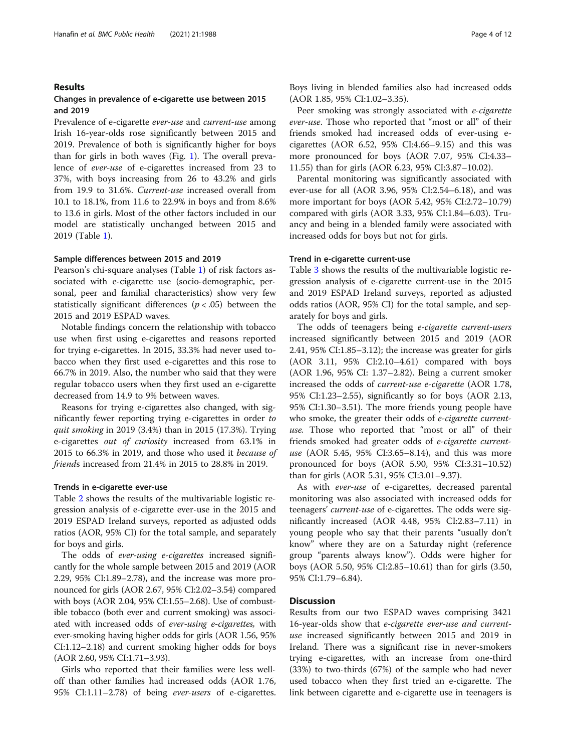#### Results

### Changes in prevalence of e-cigarette use between 2015 and 2019

Prevalence of e-cigarette ever-use and current-use among Irish 16-year-olds rose significantly between 2015 and 2019. Prevalence of both is significantly higher for boys than for girls in both waves (Fig. [1](#page-9-0)). The overall prevalence of ever-use of e-cigarettes increased from 23 to 37%, with boys increasing from 26 to 43.2% and girls from 19.9 to 31.6%. Current-use increased overall from 10.1 to 18.1%, from 11.6 to 22.9% in boys and from 8.6% to 13.6 in girls. Most of the other factors included in our model are statistically unchanged between 2015 and 2019 (Table [1](#page-5-0)).

#### Sample differences between 2015 and 2019

Pearson's chi-square analyses (Table [1](#page-5-0)) of risk factors associated with e-cigarette use (socio-demographic, personal, peer and familial characteristics) show very few statistically significant differences ( $p < .05$ ) between the 2015 and 2019 ESPAD waves.

Notable findings concern the relationship with tobacco use when first using e-cigarettes and reasons reported for trying e-cigarettes. In 2015, 33.3% had never used tobacco when they first used e-cigarettes and this rose to 66.7% in 2019. Also, the number who said that they were regular tobacco users when they first used an e-cigarette decreased from 14.9 to 9% between waves.

Reasons for trying e-cigarettes also changed, with significantly fewer reporting trying e-cigarettes in order to quit smoking in 2019 (3.4%) than in 2015 (17.3%). Trying e-cigarettes out of curiosity increased from 63.1% in 2015 to 66.3% in 2019, and those who used it because of friends increased from 21.4% in 2015 to 28.8% in 2019.

#### Trends in e-cigarette ever-use

Table [2](#page-7-0) shows the results of the multivariable logistic regression analysis of e-cigarette ever-use in the 2015 and 2019 ESPAD Ireland surveys, reported as adjusted odds ratios (AOR, 95% CI) for the total sample, and separately for boys and girls.

The odds of *ever-using e-cigarettes* increased significantly for the whole sample between 2015 and 2019 (AOR 2.29, 95% CI:1.89–2.78), and the increase was more pronounced for girls (AOR 2.67, 95% CI:2.02–3.54) compared with boys (AOR 2.04, 95% CI:1.55–2.68). Use of combustible tobacco (both ever and current smoking) was associated with increased odds of ever-using e-cigarettes, with ever-smoking having higher odds for girls (AOR 1.56, 95% CI:1.12–2.18) and current smoking higher odds for boys (AOR 2.60, 95% CI:1.71–3.93).

Girls who reported that their families were less welloff than other families had increased odds (AOR 1.76, 95% CI:1.11–2.78) of being ever-users of e-cigarettes. Boys living in blended families also had increased odds (AOR 1.85, 95% CI:1.02–3.35).

Peer smoking was strongly associated with *e-cigarette* ever-use. Those who reported that "most or all" of their friends smoked had increased odds of ever-using ecigarettes (AOR 6.52, 95% CI:4.66–9.15) and this was more pronounced for boys (AOR 7.07, 95% CI:4.33– 11.55) than for girls (AOR 6.23, 95% CI:3.87–10.02).

Parental monitoring was significantly associated with ever-use for all (AOR 3.96, 95% CI:2.54–6.18), and was more important for boys (AOR 5.42, 95% CI:2.72–10.79) compared with girls (AOR 3.33, 95% CI:1.84–6.03). Truancy and being in a blended family were associated with increased odds for boys but not for girls.

#### Trend in e-cigarette current-use

Table [3](#page-8-0) shows the results of the multivariable logistic regression analysis of e-cigarette current-use in the 2015 and 2019 ESPAD Ireland surveys, reported as adjusted odds ratios (AOR, 95% CI) for the total sample, and separately for boys and girls.

The odds of teenagers being e-cigarette current-users increased significantly between 2015 and 2019 (AOR 2.41, 95% CI:1.85–3.12); the increase was greater for girls (AOR 3.11, 95% CI:2.10–4.61) compared with boys (AOR 1.96, 95% CI: 1.37–2.82). Being a current smoker increased the odds of current-use e-cigarette (AOR 1.78, 95% CI:1.23–2.55), significantly so for boys (AOR 2.13, 95% CI:1.30–3.51). The more friends young people have who smoke, the greater their odds of *e-cigarette current*use. Those who reported that "most or all" of their friends smoked had greater odds of e-cigarette currentuse (AOR 5.45, 95% CI:3.65–8.14), and this was more pronounced for boys (AOR 5.90, 95% CI:3.31–10.52) than for girls (AOR 5.31, 95% CI:3.01–9.37).

As with ever-use of e-cigarettes, decreased parental monitoring was also associated with increased odds for teenagers' current-use of e-cigarettes. The odds were significantly increased (AOR 4.48, 95% CI:2.83–7.11) in young people who say that their parents "usually don't know" where they are on a Saturday night (reference group "parents always know"). Odds were higher for boys (AOR 5.50, 95% CI:2.85–10.61) than for girls (3.50, 95% CI:1.79–6.84).

# **Discussion**

Results from our two ESPAD waves comprising 3421 16-year-olds show that e-cigarette ever-use and currentuse increased significantly between 2015 and 2019 in Ireland. There was a significant rise in never-smokers trying e-cigarettes, with an increase from one-third (33%) to two-thirds (67%) of the sample who had never used tobacco when they first tried an e-cigarette. The link between cigarette and e-cigarette use in teenagers is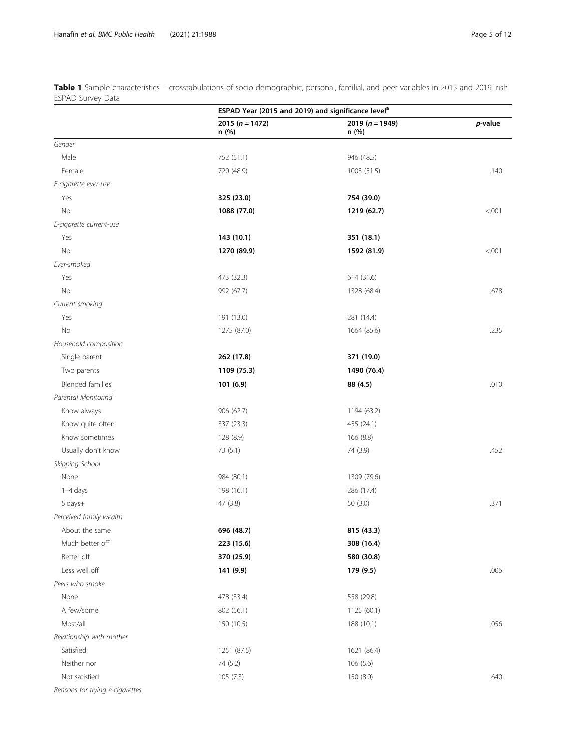|                                  | ESPAD Year (2015 and 2019) and significance level <sup>a</sup> |                              |            |
|----------------------------------|----------------------------------------------------------------|------------------------------|------------|
|                                  | 2015 ( $n = 1472$ )<br>n (%)                                   | 2019 ( $n = 1949$ )<br>n (%) | $p$ -value |
| Gender                           |                                                                |                              |            |
| Male                             | 752 (51.1)                                                     | 946 (48.5)                   |            |
| Female                           | 720 (48.9)                                                     | 1003 (51.5)                  | .140       |
| E-cigarette ever-use             |                                                                |                              |            |
| Yes                              | 325 (23.0)                                                     | 754 (39.0)                   |            |
| No                               | 1088 (77.0)                                                    | 1219 (62.7)                  | < 0.001    |
| E-cigarette current-use          |                                                                |                              |            |
| Yes                              | 143 (10.1)                                                     | 351 (18.1)                   |            |
| No                               | 1270 (89.9)                                                    | 1592 (81.9)                  | < .001     |
| Ever-smoked                      |                                                                |                              |            |
| Yes                              | 473 (32.3)                                                     | 614 (31.6)                   |            |
| No                               | 992 (67.7)                                                     | 1328 (68.4)                  | .678       |
| Current smoking                  |                                                                |                              |            |
| Yes                              | 191 (13.0)                                                     | 281 (14.4)                   |            |
| No                               | 1275 (87.0)                                                    | 1664 (85.6)                  | .235       |
| Household composition            |                                                                |                              |            |
| Single parent                    | 262 (17.8)                                                     | 371 (19.0)                   |            |
| Two parents                      | 1109 (75.3)                                                    | 1490 (76.4)                  |            |
| <b>Blended families</b>          | 101 (6.9)                                                      | 88 (4.5)                     | .010       |
| Parental Monitoring <sup>b</sup> |                                                                |                              |            |
| Know always                      | 906 (62.7)                                                     | 1194 (63.2)                  |            |
| Know quite often                 | 337 (23.3)                                                     | 455 (24.1)                   |            |
| Know sometimes                   | 128 (8.9)                                                      | 166 (8.8)                    |            |
| Usually don't know               | 73 (5.1)                                                       | 74 (3.9)                     | .452       |
| Skipping School                  |                                                                |                              |            |
| None                             | 984 (80.1)                                                     | 1309 (79.6)                  |            |
| 1-4 days                         | 198 (16.1)                                                     | 286 (17.4)                   |            |
| 5 days+                          | 47 (3.8)                                                       | 50(3.0)                      | .371       |
| Perceived family wealth          |                                                                |                              |            |
| About the same                   | 696 (48.7)                                                     | 815 (43.3)                   |            |
| Much better off                  | 223 (15.6)                                                     | 308 (16.4)                   |            |
| Better off                       | 370 (25.9)                                                     | 580 (30.8)                   |            |
| Less well off                    | 141 (9.9)                                                      | 179 (9.5)                    | .006       |
| Peers who smoke                  |                                                                |                              |            |
| None                             | 478 (33.4)                                                     | 558 (29.8)                   |            |
| A few/some                       | 802 (56.1)                                                     | 1125 (60.1)                  |            |
| Most/all                         | 150 (10.5)                                                     | 188 (10.1)                   | .056       |
| Relationship with mother         |                                                                |                              |            |
| Satisfied                        | 1251 (87.5)                                                    | 1621 (86.4)                  |            |
| Neither nor                      | 74 (5.2)                                                       | 106(5.6)                     |            |
| Not satisfied                    | 105(7.3)                                                       | 150 (8.0)                    | .640       |
| Reasons for theing               |                                                                |                              |            |

<span id="page-5-0"></span>Table 1 Sample characteristics – crosstabulations of socio-demographic, personal, familial, and peer variables in 2015 and 2019 Irish ESPAD Survey Data

Reasons for trying e-cigarettes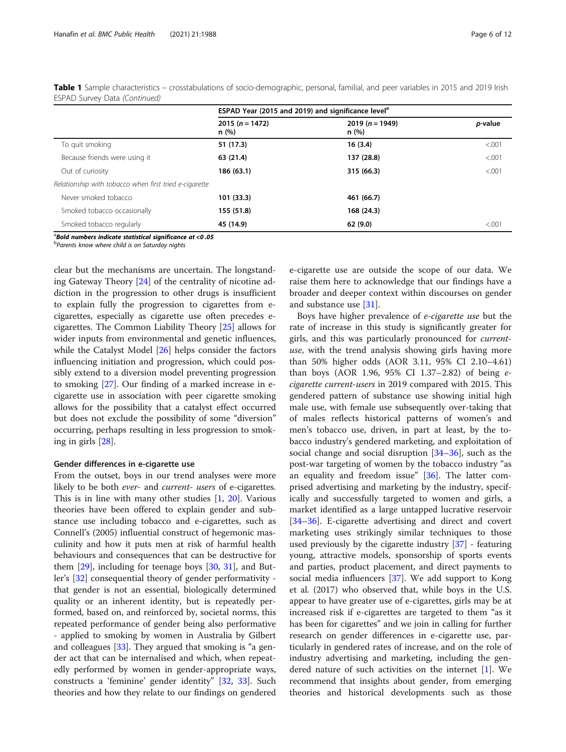|                                                        |                           | ESPAD Year (2015 and 2019) and significance level <sup>a</sup> |                 |
|--------------------------------------------------------|---------------------------|----------------------------------------------------------------|-----------------|
|                                                        | $2015(n = 1472)$<br>n (%) | 2019 ( $n = 1949$ )<br>n(%)                                    | <i>p</i> -value |
| To quit smoking                                        | 51 (17.3)                 | 16(3.4)                                                        | < 0.001         |
| Because friends were using it                          | 63 (21.4)                 | 137 (28.8)                                                     | < 0.001         |
| Out of curiosity                                       | 186 (63.1)                | 315 (66.3)                                                     | < 0.001         |
| Relationship with tobacco when first tried e-cigarette |                           |                                                                |                 |
| Never smoked tobacco                                   | 101(33.3)                 | 461 (66.7)                                                     |                 |
| Smoked tobacco occasionally                            | 155 (51.8)                | 168 (24.3)                                                     |                 |
| Smoked tobacco regularly                               | 45 (14.9)                 | 62(9.0)                                                        | < 0.001         |

Table 1 Sample characteristics – crosstabulations of socio-demographic, personal, familial, and peer variables in 2015 and 2019 Irish ESPAD Survey Data (Continued)

 $^{\rm a}$ Bold numbers indicate statistical significance at <0 .05

**b** Parents know where child is on Saturday nights

clear but the mechanisms are uncertain. The longstanding Gateway Theory [\[24\]](#page-11-0) of the centrality of nicotine addiction in the progression to other drugs is insufficient to explain fully the progression to cigarettes from ecigarettes, especially as cigarette use often precedes ecigarettes. The Common Liability Theory [\[25\]](#page-11-0) allows for wider inputs from environmental and genetic influences, while the Catalyst Model  $[26]$  $[26]$  helps consider the factors influencing initiation and progression, which could possibly extend to a diversion model preventing progression to smoking [[27\]](#page-11-0). Our finding of a marked increase in ecigarette use in association with peer cigarette smoking allows for the possibility that a catalyst effect occurred but does not exclude the possibility of some "diversion" occurring, perhaps resulting in less progression to smoking in girls [[28](#page-11-0)].

#### Gender differences in e-cigarette use

From the outset, boys in our trend analyses were more likely to be both ever- and current- users of e-cigarettes. This is in line with many other studies  $[1, 20]$  $[1, 20]$  $[1, 20]$  $[1, 20]$ . Various theories have been offered to explain gender and substance use including tobacco and e-cigarettes, such as Connell's (2005) influential construct of hegemonic masculinity and how it puts men at risk of harmful health behaviours and consequences that can be destructive for them [[29](#page-11-0)], including for teenage boys [[30,](#page-11-0) [31](#page-11-0)], and Butler's [\[32](#page-11-0)] consequential theory of gender performativity that gender is not an essential, biologically determined quality or an inherent identity, but is repeatedly performed, based on, and reinforced by, societal norms, this repeated performance of gender being also performative - applied to smoking by women in Australia by Gilbert and colleagues [[33](#page-11-0)]. They argued that smoking is "a gender act that can be internalised and which, when repeatedly performed by women in gender-appropriate ways, constructs a 'feminine' gender identity" [\[32](#page-11-0), [33](#page-11-0)]. Such theories and how they relate to our findings on gendered

e-cigarette use are outside the scope of our data. We raise them here to acknowledge that our findings have a broader and deeper context within discourses on gender and substance use [[31\]](#page-11-0).

Boys have higher prevalence of e-cigarette use but the rate of increase in this study is significantly greater for girls, and this was particularly pronounced for currentuse, with the trend analysis showing girls having more than 50% higher odds (AOR 3.11, 95% CI 2.10–4.61) than boys (AOR 1.96, 95% CI 1.37–2.82) of being ecigarette current-users in 2019 compared with 2015. This gendered pattern of substance use showing initial high male use, with female use subsequently over-taking that of males reflects historical patterns of women's and men's tobacco use, driven, in part at least, by the tobacco industry's gendered marketing, and exploitation of social change and social disruption  $[34–36]$  $[34–36]$  $[34–36]$ , such as the post-war targeting of women by the tobacco industry "as an equality and freedom issue" [[36](#page-12-0)]. The latter comprised advertising and marketing by the industry, specifically and successfully targeted to women and girls, a market identified as a large untapped lucrative reservoir [[34](#page-11-0)–[36](#page-12-0)]. E-cigarette advertising and direct and covert marketing uses strikingly similar techniques to those used previously by the cigarette industry [[37\]](#page-12-0) - featuring young, attractive models, sponsorship of sports events and parties, product placement, and direct payments to social media influencers  $[37]$  $[37]$ . We add support to Kong et al. (2017) who observed that, while boys in the U.S. appear to have greater use of e-cigarettes, girls may be at increased risk if e-cigarettes are targeted to them "as it has been for cigarettes" and we join in calling for further research on gender differences in e-cigarette use, particularly in gendered rates of increase, and on the role of industry advertising and marketing, including the gendered nature of such activities on the internet [[1\]](#page-11-0). We recommend that insights about gender, from emerging theories and historical developments such as those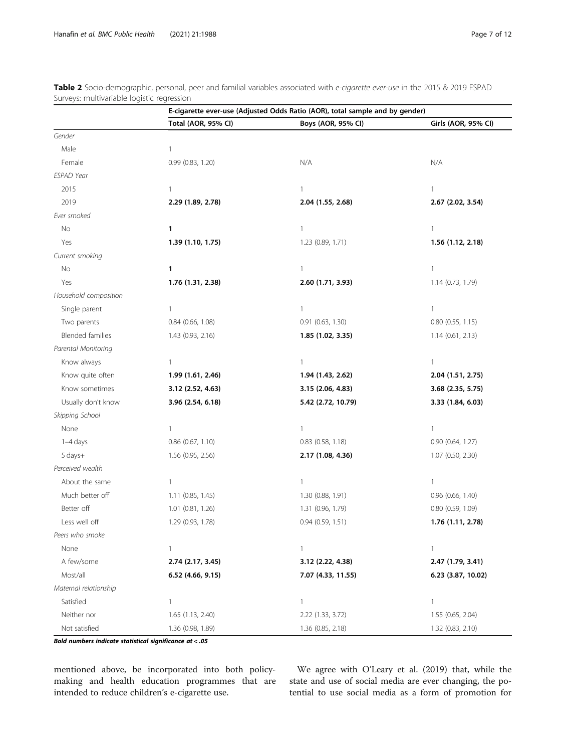|                         |                     | E-cigarette ever-use (Adjusted Odds Ratio (AOR), total sample and by gender) |                       |  |
|-------------------------|---------------------|------------------------------------------------------------------------------|-----------------------|--|
|                         | Total (AOR, 95% CI) | Boys (AOR, 95% CI)                                                           | Girls (AOR, 95% CI)   |  |
| Gender                  |                     |                                                                              |                       |  |
| Male                    | 1                   |                                                                              |                       |  |
| Female                  | 0.99 (0.83, 1.20)   | N/A                                                                          | N/A                   |  |
| <b>ESPAD Year</b>       |                     |                                                                              |                       |  |
| 2015                    | 1                   | 1                                                                            | 1                     |  |
| 2019                    | 2.29 (1.89, 2.78)   | 2.04 (1.55, 2.68)                                                            | 2.67 (2.02, 3.54)     |  |
| Ever smoked             |                     |                                                                              |                       |  |
| No                      | 1                   | $\mathbf{1}$                                                                 | $\mathbf{1}$          |  |
| Yes                     | 1.39 (1.10, 1.75)   | 1.23 (0.89, 1.71)                                                            | 1.56 (1.12, 2.18)     |  |
| Current smoking         |                     |                                                                              |                       |  |
| No                      | 1                   | 1                                                                            | $\mathbf{1}$          |  |
| Yes                     | 1.76 (1.31, 2.38)   | 2.60 (1.71, 3.93)                                                            | 1.14 (0.73, 1.79)     |  |
| Household composition   |                     |                                                                              |                       |  |
| Single parent           | 1                   | $\mathbf{1}$                                                                 | $\mathbf{1}$          |  |
| Two parents             | 0.84 (0.66, 1.08)   | 0.91 (0.63, 1.30)                                                            | $0.80$ $(0.55, 1.15)$ |  |
| <b>Blended families</b> | 1.43 (0.93, 2.16)   | 1.85 (1.02, 3.35)                                                            | 1.14(0.61, 2.13)      |  |
| Parental Monitoring     |                     |                                                                              |                       |  |
| Know always             | 1                   | $\mathbf{1}$                                                                 | $\mathbf{1}$          |  |
| Know quite often        | 1.99 (1.61, 2.46)   | 1.94 (1.43, 2.62)                                                            | 2.04 (1.51, 2.75)     |  |
| Know sometimes          | 3.12 (2.52, 4.63)   | 3.15 (2.06, 4.83)                                                            | 3.68 (2.35, 5.75)     |  |
| Usually don't know      | 3.96 (2.54, 6.18)   | 5.42 (2.72, 10.79)                                                           | 3.33 (1.84, 6.03)     |  |
| Skipping School         |                     |                                                                              |                       |  |
| None                    | 1                   | 1                                                                            | 1                     |  |
| $1-4$ days              | 0.86 (0.67, 1.10)   | $0.83$ $(0.58, 1.18)$                                                        | 0.90(0.64, 1.27)      |  |
| 5 days+                 | 1.56 (0.95, 2.56)   | 2.17 (1.08, 4.36)                                                            | 1.07 (0.50, 2.30)     |  |
| Perceived wealth        |                     |                                                                              |                       |  |
| About the same          | 1                   | $\mathbf{1}$                                                                 | 1                     |  |
| Much better off         | 1.11 (0.85, 1.45)   | 1.30 (0.88, 1.91)                                                            | 0.96 (0.66, 1.40)     |  |
| Better off              | 1.01 (0.81, 1.26)   | 1.31 (0.96, 1.79)                                                            | $0.80$ $(0.59, 1.09)$ |  |
| Less well off           | 1.29 (0.93, 1.78)   | 0.94 (0.59, 1.51)                                                            | 1.76 (1.11, 2.78)     |  |
| Peers who smoke         |                     |                                                                              |                       |  |
| None                    | 1                   | $\overline{\phantom{a}}$                                                     | 1                     |  |
| A few/some              | 2.74 (2.17, 3.45)   | 3.12 (2.22, 4.38)                                                            | 2.47 (1.79, 3.41)     |  |
| Most/all                | 6.52 (4.66, 9.15)   | 7.07 (4.33, 11.55)                                                           | 6.23 (3.87, 10.02)    |  |
| Maternal relationship   |                     |                                                                              |                       |  |
| Satisfied               | 1                   | 1                                                                            | $\mathbf{1}$          |  |
| Neither nor             | 1.65 (1.13, 2.40)   | 2.22 (1.33, 3.72)                                                            | 1.55 (0.65, 2.04)     |  |
| Not satisfied           | 1.36 (0.98, 1.89)   | 1.36 (0.85, 2.18)                                                            | 1.32 (0.83, 2.10)     |  |

<span id="page-7-0"></span>Table 2 Socio-demographic, personal, peer and familial variables associated with e-cigarette ever-use in the 2015 & 2019 ESPAD Surveys: multivariable logistic regression

Bold numbers indicate statistical significance at < .05

mentioned above, be incorporated into both policymaking and health education programmes that are intended to reduce children's e-cigarette use.

We agree with O'Leary et al. (2019) that, while the state and use of social media are ever changing, the potential to use social media as a form of promotion for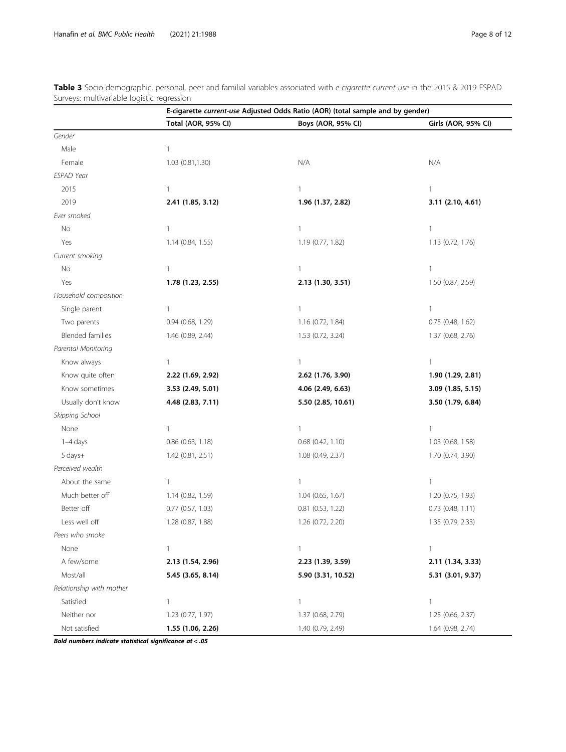|                          |                       | E-cigarette current-use Adjusted Odds Ratio (AOR) (total sample and by gender) |                       |  |
|--------------------------|-----------------------|--------------------------------------------------------------------------------|-----------------------|--|
|                          | Total (AOR, 95% CI)   | Boys (AOR, 95% CI)                                                             | Girls (AOR, 95% CI)   |  |
| Gender                   |                       |                                                                                |                       |  |
| Male                     | 1                     |                                                                                |                       |  |
| Female                   | 1.03 (0.81,1.30)      | N/A                                                                            | N/A                   |  |
| ESPAD Year               |                       |                                                                                |                       |  |
| 2015                     | $\mathbf{1}$          | 1                                                                              | 1                     |  |
| 2019                     | 2.41 (1.85, 3.12)     | 1.96 (1.37, 2.82)                                                              | 3.11 (2.10, 4.61)     |  |
| Ever smoked              |                       |                                                                                |                       |  |
| No                       | $\mathbf{1}$          | 1                                                                              | $\mathbf{1}$          |  |
| Yes                      | 1.14 (0.84, 1.55)     | 1.19 (0.77, 1.82)                                                              | 1.13 (0.72, 1.76)     |  |
| Current smoking          |                       |                                                                                |                       |  |
| No                       | 1                     | 1                                                                              | 1                     |  |
| Yes                      | 1.78 (1.23, 2.55)     | 2.13 (1.30, 3.51)                                                              | 1.50 (0.87, 2.59)     |  |
| Household composition    |                       |                                                                                |                       |  |
| Single parent            | $\mathbf{1}$          | 1                                                                              | 1                     |  |
| Two parents              | 0.94 (0.68, 1.29)     | 1.16 (0.72, 1.84)                                                              | $0.75$ (0.48, 1.62)   |  |
| <b>Blended families</b>  | 1.46 (0.89, 2.44)     | 1.53 (0.72, 3.24)                                                              | 1.37 (0.68, 2.76)     |  |
| Parental Monitoring      |                       |                                                                                |                       |  |
| Know always              | 1                     | $\mathbf{1}$                                                                   | 1                     |  |
| Know quite often         | 2.22 (1.69, 2.92)     | 2.62 (1.76, 3.90)                                                              | 1.90 (1.29, 2.81)     |  |
| Know sometimes           | 3.53 (2.49, 5.01)     | 4.06 (2.49, 6.63)                                                              | 3.09 (1.85, 5.15)     |  |
| Usually don't know       | 4.48 (2.83, 7.11)     | 5.50 (2.85, 10.61)                                                             | 3.50 (1.79, 6.84)     |  |
| Skipping School          |                       |                                                                                |                       |  |
| None                     | 1                     | 1                                                                              | 1                     |  |
| 1-4 days                 | $0.86$ $(0.63, 1.18)$ | $0.68$ $(0.42, 1.10)$                                                          | 1.03 (0.68, 1.58)     |  |
| 5 days+                  | 1.42 (0.81, 2.51)     | 1.08 (0.49, 2.37)                                                              | 1.70 (0.74, 3.90)     |  |
| Perceived wealth         |                       |                                                                                |                       |  |
| About the same           | $\mathbf{1}$          | 1                                                                              | $\mathbf{1}$          |  |
| Much better off          | 1.14 (0.82, 1.59)     | 1.04 (0.65, 1.67)                                                              | 1.20 (0.75, 1.93)     |  |
| Better off               | $0.77$ $(0.57, 1.03)$ | $0.81$ $(0.53, 1.22)$                                                          | $0.73$ $(0.48, 1.11)$ |  |
| Less well off            | 1.28 (0.87, 1.88)     | 1.26 (0.72, 2.20)                                                              | 1.35 (0.79, 2.33)     |  |
| Peers who smoke          |                       |                                                                                |                       |  |
| None                     | 1                     | 1                                                                              | $\mathbf{1}$          |  |
| A few/some               | 2.13 (1.54, 2.96)     | 2.23 (1.39, 3.59)                                                              | 2.11 (1.34, 3.33)     |  |
| Most/all                 | 5.45 (3.65, 8.14)     | 5.90 (3.31, 10.52)                                                             | 5.31 (3.01, 9.37)     |  |
| Relationship with mother |                       |                                                                                |                       |  |
| Satisfied                | 1                     | 1                                                                              | 1                     |  |
| Neither nor              | 1.23 (0.77, 1.97)     | 1.37 (0.68, 2.79)                                                              | 1.25 (0.66, 2.37)     |  |
| Not satisfied            | 1.55 (1.06, 2.26)     | 1.40 (0.79, 2.49)                                                              | 1.64 (0.98, 2.74)     |  |

<span id="page-8-0"></span>Table 3 Socio-demographic, personal, peer and familial variables associated with e-cigarette current-use in the 2015 & 2019 ESPAD Surveys: multivariable logistic regression

Bold numbers indicate statistical significance at < .05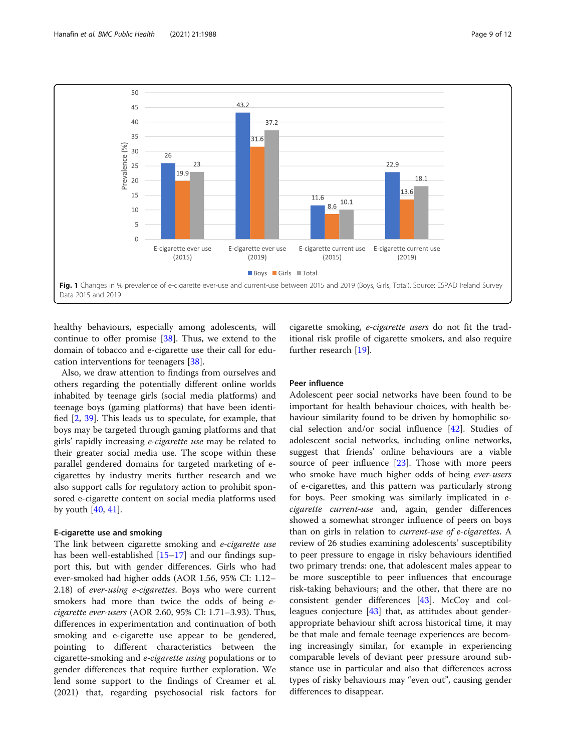<span id="page-9-0"></span>

healthy behaviours, especially among adolescents, will continue to offer promise [\[38\]](#page-12-0). Thus, we extend to the domain of tobacco and e-cigarette use their call for education interventions for teenagers [\[38](#page-12-0)].

Also, we draw attention to findings from ourselves and others regarding the potentially different online worlds inhabited by teenage girls (social media platforms) and teenage boys (gaming platforms) that have been identified [\[2](#page-11-0), [39\]](#page-12-0). This leads us to speculate, for example, that boys may be targeted through gaming platforms and that girls' rapidly increasing e-cigarette use may be related to their greater social media use. The scope within these parallel gendered domains for targeted marketing of ecigarettes by industry merits further research and we also support calls for regulatory action to prohibit sponsored e-cigarette content on social media platforms used by youth [[40](#page-12-0), [41](#page-12-0)].

#### E-cigarette use and smoking

The link between cigarette smoking and e-cigarette use has been well-established [[15](#page-11-0)–[17\]](#page-11-0) and our findings support this, but with gender differences. Girls who had ever-smoked had higher odds (AOR 1.56, 95% CI: 1.12– 2.18) of ever-using e-cigarettes. Boys who were current smokers had more than twice the odds of being ecigarette ever-users (AOR 2.60, 95% CI: 1.71–3.93). Thus, differences in experimentation and continuation of both smoking and e-cigarette use appear to be gendered, pointing to different characteristics between the cigarette-smoking and e-cigarette using populations or to gender differences that require further exploration. We lend some support to the findings of Creamer et al. (2021) that, regarding psychosocial risk factors for

cigarette smoking, e-cigarette users do not fit the traditional risk profile of cigarette smokers, and also require further research [\[19](#page-11-0)].

# Peer influence

Adolescent peer social networks have been found to be important for health behaviour choices, with health behaviour similarity found to be driven by homophilic social selection and/or social influence [\[42](#page-12-0)]. Studies of adolescent social networks, including online networks, suggest that friends' online behaviours are a viable source of peer influence [[23](#page-11-0)]. Those with more peers who smoke have much higher odds of being ever-users of e-cigarettes, and this pattern was particularly strong for boys. Peer smoking was similarly implicated in ecigarette current-use and, again, gender differences showed a somewhat stronger influence of peers on boys than on girls in relation to current-use of e-cigarettes. A review of 26 studies examining adolescents' susceptibility to peer pressure to engage in risky behaviours identified two primary trends: one, that adolescent males appear to be more susceptible to peer influences that encourage risk-taking behaviours; and the other, that there are no consistent gender differences [[43\]](#page-12-0). McCoy and colleagues conjecture  $[43]$  $[43]$  $[43]$  that, as attitudes about genderappropriate behaviour shift across historical time, it may be that male and female teenage experiences are becoming increasingly similar, for example in experiencing comparable levels of deviant peer pressure around substance use in particular and also that differences across types of risky behaviours may "even out", causing gender differences to disappear.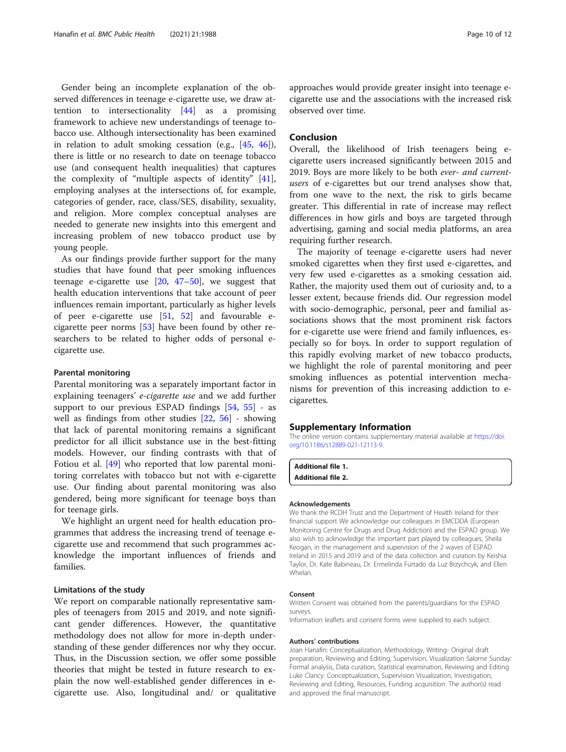<span id="page-10-0"></span>Gender being an incomplete explanation of the observed differences in teenage e-cigarette use, we draw attention to intersectionality [\[44\]](#page-12-0) as a promising framework to achieve new understandings of teenage tobacco use. Although intersectionality has been examined in relation to adult smoking cessation (e.g., [\[45,](#page-12-0) [46](#page-12-0)]), there is little or no research to date on teenage tobacco use (and consequent health inequalities) that captures the complexity of "multiple aspects of identity" [\[41](#page-12-0)], employing analyses at the intersections of, for example, categories of gender, race, class/SES, disability, sexuality, and religion. More complex conceptual analyses are needed to generate new insights into this emergent and increasing problem of new tobacco product use by young people.

As our findings provide further support for the many studies that have found that peer smoking influences teenage e-cigarette use  $[20, 47-50]$  $[20, 47-50]$  $[20, 47-50]$  $[20, 47-50]$  $[20, 47-50]$  $[20, 47-50]$  $[20, 47-50]$ , we suggest that health education interventions that take account of peer influences remain important, particularly as higher levels of peer e-cigarette use [\[51,](#page-12-0) [52](#page-12-0)] and favourable ecigarette peer norms [[53\]](#page-12-0) have been found by other researchers to be related to higher odds of personal ecigarette use.

#### Parental monitoring

Parental monitoring was a separately important factor in explaining teenagers' e-cigarette use and we add further support to our previous ESPAD findings  $[54, 55]$  $[54, 55]$  $[54, 55]$  $[54, 55]$  $[54, 55]$  - as well as findings from other studies [\[22](#page-11-0), [56\]](#page-12-0) - showing that lack of parental monitoring remains a significant predictor for all illicit substance use in the best-fitting models. However, our finding contrasts with that of Fotiou et al. [\[49\]](#page-12-0) who reported that low parental monitoring correlates with tobacco but not with e-cigarette use. Our finding about parental monitoring was also gendered, being more significant for teenage boys than for teenage girls.

We highlight an urgent need for health education programmes that address the increasing trend of teenage ecigarette use and recommend that such programmes acknowledge the important influences of friends and families.

#### Limitations of the study

We report on comparable nationally representative samples of teenagers from 2015 and 2019, and note significant gender differences. However, the quantitative methodology does not allow for more in-depth understanding of these gender differences nor why they occur. Thus, in the Discussion section, we offer some possible theories that might be tested in future research to explain the now well-established gender differences in ecigarette use. Also, longitudinal and/ or qualitative

approaches would provide greater insight into teenage ecigarette use and the associations with the increased risk observed over time.

#### Conclusion

Overall, the likelihood of Irish teenagers being ecigarette users increased significantly between 2015 and 2019. Boys are more likely to be both ever- and currentusers of e-cigarettes but our trend analyses show that, from one wave to the next, the risk to girls became greater. This differential in rate of increase may reflect differences in how girls and boys are targeted through advertising, gaming and social media platforms, an area requiring further research.

The majority of teenage e-cigarette users had never smoked cigarettes when they first used e-cigarettes, and very few used e-cigarettes as a smoking cessation aid. Rather, the majority used them out of curiosity and, to a lesser extent, because friends did. Our regression model with socio-demographic, personal, peer and familial associations shows that the most prominent risk factors for e-cigarette use were friend and family influences, especially so for boys. In order to support regulation of this rapidly evolving market of new tobacco products, we highlight the role of parental monitoring and peer smoking influences as potential intervention mechanisms for prevention of this increasing addiction to ecigarettes.

#### Supplementary Information

The online version contains supplementary material available at [https://doi.](https://doi.org/10.1186/s12889-021-12113-9) [org/10.1186/s12889-021-12113-9.](https://doi.org/10.1186/s12889-021-12113-9)

Additional file 1. Additional file 2.

#### Acknowledgements

We thank the RCDH Trust and the Department of Health Ireland for their financial support We acknowledge our colleagues in EMCDDA (European Monitoring Centre for Drugs and Drug Addiction) and the ESPAD group. We also wish to acknowledge the important part played by colleagues, Sheila Keogan, in the management and supervision of the 2 waves of ESPAD Ireland in 2015 and 2019 and of the data collection and curation by Keishia Taylor, Dr. Kate Babineau, Dr. Ermelinda Furtado da Luz Brzychcyk, and Ellen Whelan.

#### Consent

Written Consent was obtained from the parents/guardians for the ESPAD surveys.

Information leaflets and consent forms were supplied to each subject.

#### Authors' contributions

Joan Hanafin: Conceptualization, Methodology, Writing- Original draft preparation, Reviewing and Editing, Supervision, Visualization Salome Sunday: Formal analysis, Data curation, Statistical examination, Reviewing and Editing Luke Clancy: Conceptualization, Supervision Visualization, Investigation, Reviewing and Editing, Resources, Funding acquisition. The author(s) read and approved the final manuscript.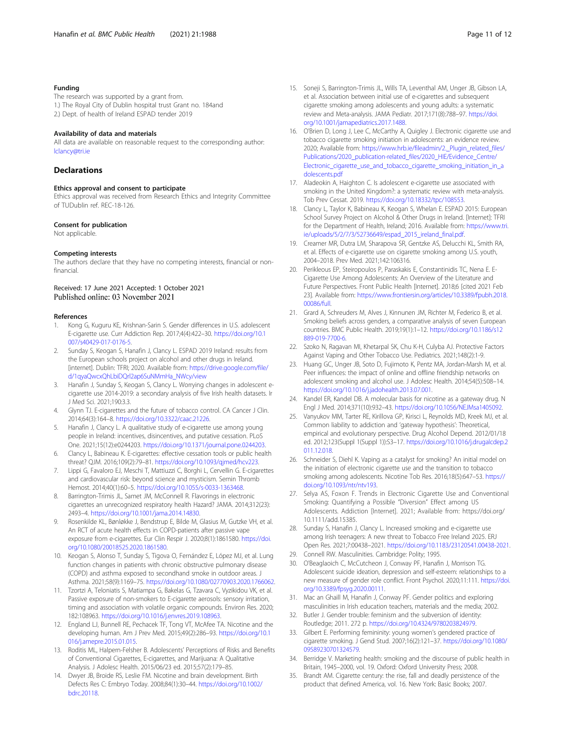#### <span id="page-11-0"></span>Funding

The research was supported by a grant from. 1.) The Royal City of Dublin hospital trust Grant no. 184and 2.) Dept. of health of Ireland ESPAD tender 2019

#### Availability of data and materials

All data are available on reasonable request to the corresponding author: [lclancy@tri.ie](mailto:lclancy@tri.ie)

#### Declarations

#### Ethics approval and consent to participate

Ethics approval was received from Research Ethics and Integrity Committee of TUDublin ref. REC-18-126.

#### Consent for publication

Not applicable.

#### Competing interests

The authors declare that they have no competing interests, financial or nonfinancial.

#### Received: 17 June 2021 Accepted: 1 October 2021 Published online: 03 November 2021

#### References

- 1. Kong G, Kuguru KE, Krishnan-Sarin S. Gender differences in U.S. adolescent E-cigarette use. Curr Addiction Rep. 2017;4(4):422–30. [https://doi.org/10.1](https://doi.org/10.1007/s40429-017-0176-5) [007/s40429-017-0176-5.](https://doi.org/10.1007/s40429-017-0176-5)
- Sunday S, Keogan S, Hanafin J, Clancy L. ESPAD 2019 Ireland: results from the European schools project on alcohol and other drugs in Ireland. [internet]. Dublin: TFRI; 2020. Available from: [https://drive.google.com/file/](https://drive.google.com/file/d/1qyaQwcxQhLbiDQrl2ap6SuNMmHa_NWcy/view) [d/1qyaQwcxQhLbiDQrl2ap6SuNMmHa\\_NWcy/view](https://drive.google.com/file/d/1qyaQwcxQhLbiDQrl2ap6SuNMmHa_NWcy/view)
- 3. Hanafin J, Sunday S, Keogan S, Clancy L. Worrying changes in adolescent ecigarette use 2014-2019: a secondary analysis of five Irish health datasets. Ir J Med Sci. 2021;190:3.3.
- 4. Glynn TJ. E-cigarettes and the future of tobacco control. CA Cancer J Clin. 2014;64(3):164–8. <https://doi.org/10.3322/caac.21226>.
- 5. Hanafin J, Clancy L. A qualitative study of e-cigarette use among young people in Ireland: incentives, disincentives, and putative cessation. PLoS One. 2021;15(12):e0244203. [https://doi.org/10.1371/journal.pone.0244203.](https://doi.org/10.1371/journal.pone.0244203)
- 6. Clancy L, Babineau K. E-cigarettes: effective cessation tools or public health threat? QJM. 2016;109(2):79–81. [https://doi.org/10.1093/qjmed/hcv223.](https://doi.org/10.1093/qjmed/hcv223)
- 7. Lippi G, Favaloro EJ, Meschi T, Mattiuzzi C, Borghi L, Cervellin G. E-cigarettes and cardiovascular risk: beyond science and mysticism. Semin Thromb Hemost. 2014;40(1):60–5. [https://doi.org/10.1055/s-0033-1363468.](https://doi.org/10.1055/s-0033-1363468)
- Barrington-Trimis JL, Samet JM, McConnell R. Flavorings in electronic cigarettes an unrecognized respiratory health Hazard? JAMA. 2014;312(23): 2493–4. [https://doi.org/10.1001/jama.2014.14830.](https://doi.org/10.1001/jama.2014.14830)
- 9. Rosenkilde KL, Bønløkke J, Bendstrup E, Bilde M, Glasius M, Gutzke VH, et al. An RCT of acute health effects in COPD-patients after passive vape exposure from e-cigarettes. Eur Clin Respir J. 2020;8(1):1861580. [https://doi.](https://doi.org/10.1080/20018525.2020.1861580) [org/10.1080/20018525.2020.1861580](https://doi.org/10.1080/20018525.2020.1861580).
- 10. Keogan S, Alonso T, Sunday S, Tigova O, Fernández E, López MJ, et al. Lung function changes in patients with chronic obstructive pulmonary disease (COPD) and asthma exposed to secondhand smoke in outdoor areas. J Asthma. 2021;58(9):1169–75. <https://doi.org/10.1080/02770903.2020.1766062>.
- 11. Tzortzi A, Teloniatis S, Matiampa G, Bakelas G, Tzavara C, Vyzikidou VK, et al. Passive exposure of non-smokers to E-cigarette aerosols: sensory irritation, timing and association with volatile organic compounds. Environ Res. 2020; 182:108963. [https://doi.org/10.1016/j.envres.2019.108963.](https://doi.org/10.1016/j.envres.2019.108963)
- 12. England LJ, Bunnell RE, Pechacek TF, Tong VT, McAfee TA. Nicotine and the developing human. Am J Prev Med. 2015;49(2):286–93. [https://doi.org/10.1](https://doi.org/10.1016/j.amepre.2015.01.015) [016/j.amepre.2015.01.015](https://doi.org/10.1016/j.amepre.2015.01.015).
- 13. Roditis ML, Halpern-Felsher B. Adolescents' Perceptions of Risks and Benefits of Conventional Cigarettes, E-cigarettes, and Marijuana: A Qualitative Analysis. J Adolesc Health. 2015/06/23 ed. 2015;57(2):179–85.
- 14. Dwyer JB, Broide RS, Leslie FM. Nicotine and brain development. Birth Defects Res C: Embryo Today. 2008;84(1):30–44. [https://doi.org/10.1002/](https://doi.org/10.1002/bdrc.20118) [bdrc.20118.](https://doi.org/10.1002/bdrc.20118)
- 
- 15. Soneji S, Barrington-Trimis JL, Wills TA, Leventhal AM, Unger JB, Gibson LA, et al. Association between initial use of e-cigarettes and subsequent cigarette smoking among adolescents and young adults: a systematic review and Meta-analysis. JAMA Pediatr. 2017;171(8):788–97. [https://doi.](https://doi.org/10.1001/jamapediatrics.2017.1488) [org/10.1001/jamapediatrics.2017.1488.](https://doi.org/10.1001/jamapediatrics.2017.1488)
- 16. O'Brien D, Long J, Lee C, McCarthy A, Quigley J. Electronic cigarette use and tobacco cigarette smoking initiation in adolescents: an evidence review. 2020; Available from: [https://www.hrb.ie/fileadmin/2.\\_Plugin\\_related\\_files/](https://www.hrb.ie/fileadmin/2._Plugin_related_files/Publications/2020_publication-related_files/2020_HIE/Evidence_Centre/Electronic_cigarette_use_and_tobacco_cigarette_smoking_initiation_in_adolescents.pdf) [Publications/2020\\_publication-related\\_files/2020\\_HIE/Evidence\\_Centre/](https://www.hrb.ie/fileadmin/2._Plugin_related_files/Publications/2020_publication-related_files/2020_HIE/Evidence_Centre/Electronic_cigarette_use_and_tobacco_cigarette_smoking_initiation_in_adolescents.pdf) [Electronic\\_cigarette\\_use\\_and\\_tobacco\\_cigarette\\_smoking\\_initiation\\_in\\_a](https://www.hrb.ie/fileadmin/2._Plugin_related_files/Publications/2020_publication-related_files/2020_HIE/Evidence_Centre/Electronic_cigarette_use_and_tobacco_cigarette_smoking_initiation_in_adolescents.pdf) [dolescents.pdf](https://www.hrb.ie/fileadmin/2._Plugin_related_files/Publications/2020_publication-related_files/2020_HIE/Evidence_Centre/Electronic_cigarette_use_and_tobacco_cigarette_smoking_initiation_in_adolescents.pdf)
- 17. Aladeokin A, Haighton C. Is adolescent e-cigarette use associated with smoking in the United Kingdom?: a systematic review with meta-analysis. Tob Prev Cessat. 2019. <https://doi.org/10.18332/tpc/108553>.
- 18. Clancy L, Taylor K, Babineau K, Keogan S, Whelan E. ESPAD 2015: European School Survey Project on Alcohol & Other Drugs in Ireland. [Internet]: TFRI for the Department of Health, Ireland; 2016. Available from: [https://www.tri.](https://www.tri.ie/uploads/5/2/7/3/52736649/espad_2015_ireland_final.pdf) [ie/uploads/5/2/7/3/52736649/espad\\_2015\\_ireland\\_final.pdf](https://www.tri.ie/uploads/5/2/7/3/52736649/espad_2015_ireland_final.pdf).
- 19. Creamer MR, Dutra LM, Sharapova SR, Gentzke AS, Delucchi KL, Smith RA, et al. Effects of e-cigarette use on cigarette smoking among U.S. youth, 2004–2018. Prev Med. 2021;142:106316.
- 20. Perikleous EP, Steiropoulos P, Paraskakis E, Constantinidis TC, Nena E. E-Cigarette Use Among Adolescents: An Overview of the Literature and Future Perspectives. Front Public Health [Internet]. 2018;6 [cited 2021 Feb 23]. Available from: [https://www.frontiersin.org/articles/10.3389/fpubh.2018.](http://dx.doi.org/10.3389/fpubh.2018.00086/full) [00086/full.](http://dx.doi.org/10.3389/fpubh.2018.00086/full)
- 21. Grard A, Schreuders M, Alves J, Kinnunen JM, Richter M, Federico B, et al. Smoking beliefs across genders, a comparative analysis of seven European countries. BMC Public Health. 2019;19(1):1–12. [https://doi.org/10.1186/s12](https://doi.org/10.1186/s12889-019-7700-6) [889-019-7700-6.](https://doi.org/10.1186/s12889-019-7700-6)
- 22. Szoko N, Ragavan MI, Khetarpal SK, Chu K-H, Culyba AJ. Protective Factors Against Vaping and Other Tobacco Use. Pediatrics. 2021;148(2):1-9.
- 23. Huang GC, Unger JB, Soto D, Fujimoto K, Pentz MA, Jordan-Marsh M, et al. Peer influences: the impact of online and offline friendship networks on adolescent smoking and alcohol use. J Adolesc Health. 2014;54(5):508–14. [https://doi.org/10.1016/j.jadohealth.2013.07.001.](https://doi.org/10.1016/j.jadohealth.2013.07.001)
- 24. Kandel ER, Kandel DB. A molecular basis for nicotine as a gateway drug. N Engl J Med. 2014;371(10):932–43. <https://doi.org/10.1056/NEJMsa1405092>.
- 25. Vanyukov MM, Tarter RE, Kirillova GP, Kirisci L, Reynolds MD, Kreek MJ, et al. Common liability to addiction and 'gateway hypothesis': Theoretical, empirical and evolutionary perspective. Drug Alcohol Depend. 2012/01/18 ed. 2012;123(Suppl 1(Suppl 1)):S3–17. [https://doi.org/10.1016/j.drugalcdep.2](https://doi.org/10.1016/j.drugalcdep.2011.12.018) [011.12.018](https://doi.org/10.1016/j.drugalcdep.2011.12.018).
- 26. Schneider S, Diehl K. Vaping as a catalyst for smoking? An initial model on the initiation of electronic cigarette use and the transition to tobacco smoking among adolescents. Nicotine Tob Res. 2016;18(5):647–53. [https://](https://doi.org/10.1093/ntr/ntv193) [doi.org/10.1093/ntr/ntv193](https://doi.org/10.1093/ntr/ntv193).
- 27. Selya AS, Foxon F. Trends in Electronic Cigarette Use and Conventional Smoking: Quantifying a Possible "Diversion" Effect among US Adolescents. Addiction [Internet]. 2021; Available from: https://doi.org/ 10.1111/add.15385.
- 28. Sunday S, Hanafin J, Clancy L. Increased smoking and e-cigarette use among Irish teenagers: A new threat to Tobacco Free Ireland 2025. ERJ Open Res. 2021;7:00438–2021. <https://doi.org/10.1183/23120541.00438-2021>.
- 29. Connell RW. Masculinities. Cambridge: Polity; 1995.
- 30. O'Beaglaoich C, McCutcheon J, Conway PF, Hanafin J, Morrison TG. Adolescent suicide ideation, depression and self-esteem: relationships to a new measure of gender role conflict. Front Psychol. 2020;11:111. [https://doi.](https://doi.org/10.3389/fpsyg.2020.00111) [org/10.3389/fpsyg.2020.00111](https://doi.org/10.3389/fpsyg.2020.00111).
- 31. Mac an Ghaill M, Hanafin J, Conway PF. Gender politics and exploring masculinities in Irish education teachers, materials and the media; 2002.
- 32. Butler J. Gender trouble: feminism and the subversion of identity: Routledge; 2011. 272 p. <https://doi.org/10.4324/9780203824979>.
- 33. Gilbert E. Performing femininity: young women's gendered practice of cigarette smoking. J Gend Stud. 2007;16(2):121–37. [https://doi.org/10.1080/](https://doi.org/10.1080/09589230701324579) [09589230701324579.](https://doi.org/10.1080/09589230701324579)
- 34. Berridge V. Marketing health: smoking and the discourse of public health in Britain, 1945–2000, vol. 19. Oxford: Oxford University Press; 2008.
- 35. Brandt AM. Cigarette century: the rise, fall and deadly persistence of the product that defined America, vol. 16. New York: Basic Books; 2007.